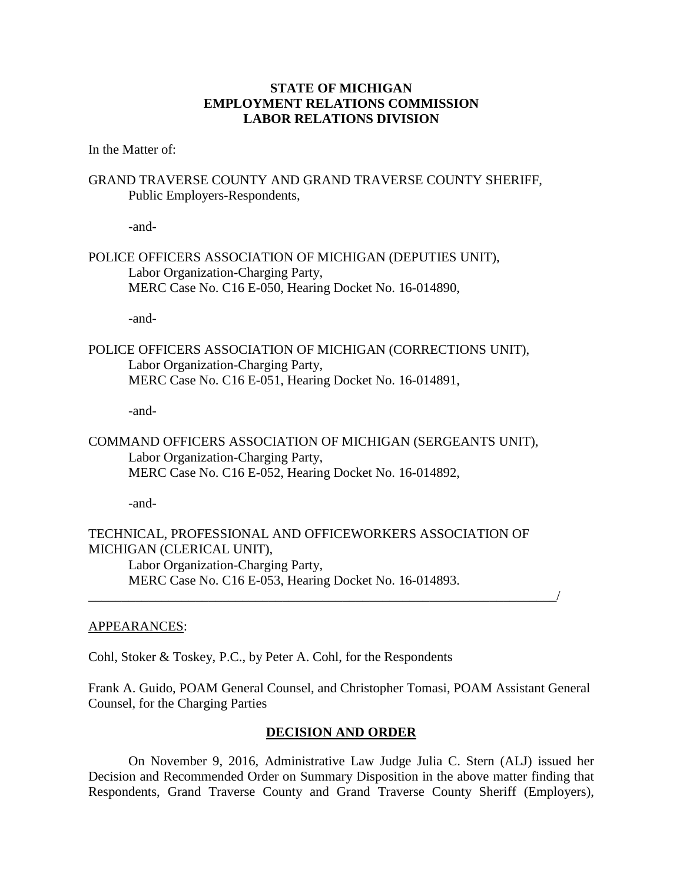## **STATE OF MICHIGAN EMPLOYMENT RELATIONS COMMISSION LABOR RELATIONS DIVISION**

In the Matter of:

## GRAND TRAVERSE COUNTY AND GRAND TRAVERSE COUNTY SHERIFF, Public Employers-Respondents,

-and-

# POLICE OFFICERS ASSOCIATION OF MICHIGAN (DEPUTIES UNIT), Labor Organization-Charging Party, MERC Case No. C16 E-050, Hearing Docket No. 16-014890,

-and-

POLICE OFFICERS ASSOCIATION OF MICHIGAN (CORRECTIONS UNIT), Labor Organization-Charging Party, MERC Case No. C16 E-051, Hearing Docket No. 16-014891,

-and-

### COMMAND OFFICERS ASSOCIATION OF MICHIGAN (SERGEANTS UNIT), Labor Organization-Charging Party, MERC Case No. C16 E-052, Hearing Docket No. 16-014892,

-and-

TECHNICAL, PROFESSIONAL AND OFFICEWORKERS ASSOCIATION OF MICHIGAN (CLERICAL UNIT), Labor Organization-Charging Party, MERC Case No. C16 E-053, Hearing Docket No. 16-014893.

\_\_\_\_\_\_\_\_\_\_\_\_\_\_\_\_\_\_\_\_\_\_\_\_\_\_\_\_\_\_\_\_\_\_\_\_\_\_\_\_\_\_\_\_\_\_\_\_\_\_\_\_\_\_\_\_\_\_\_\_\_\_\_\_\_\_\_\_\_\_/

#### APPEARANCES:

Cohl, Stoker & Toskey, P.C., by Peter A. Cohl, for the Respondents

Frank A. Guido, POAM General Counsel, and Christopher Tomasi, POAM Assistant General Counsel, for the Charging Parties

#### **DECISION AND ORDER**

On November 9, 2016, Administrative Law Judge Julia C. Stern (ALJ) issued her Decision and Recommended Order on Summary Disposition in the above matter finding that Respondents, Grand Traverse County and Grand Traverse County Sheriff (Employers),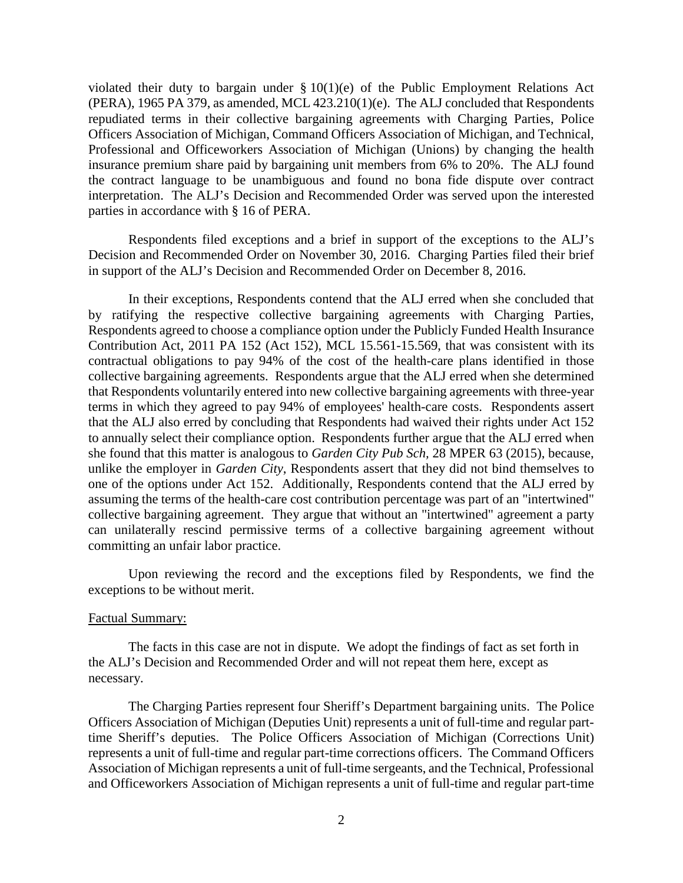violated their duty to bargain under  $\S 10(1)(e)$  of the Public Employment Relations Act (PERA), 1965 PA 379, as amended, MCL 423.210(1)(e). The ALJ concluded that Respondents repudiated terms in their collective bargaining agreements with Charging Parties, Police Officers Association of Michigan, Command Officers Association of Michigan, and Technical, Professional and Officeworkers Association of Michigan (Unions) by changing the health insurance premium share paid by bargaining unit members from 6% to 20%. The ALJ found the contract language to be unambiguous and found no bona fide dispute over contract interpretation. The ALJ's Decision and Recommended Order was served upon the interested parties in accordance with § 16 of PERA.

Respondents filed exceptions and a brief in support of the exceptions to the ALJ's Decision and Recommended Order on November 30, 2016. Charging Parties filed their brief in support of the ALJ's Decision and Recommended Order on December 8, 2016.

In their exceptions, Respondents contend that the ALJ erred when she concluded that by ratifying the respective collective bargaining agreements with Charging Parties, Respondents agreed to choose a compliance option under the Publicly Funded Health Insurance Contribution Act, 2011 PA 152 (Act 152), MCL 15.561-15.569, that was consistent with its contractual obligations to pay 94% of the cost of the health-care plans identified in those collective bargaining agreements. Respondents argue that the ALJ erred when she determined that Respondents voluntarily entered into new collective bargaining agreements with three-year terms in which they agreed to pay 94% of employees' health-care costs. Respondents assert that the ALJ also erred by concluding that Respondents had waived their rights under Act 152 to annually select their compliance option. Respondents further argue that the ALJ erred when she found that this matter is analogous to *Garden City Pub Sch,* 28 MPER 63 (2015), because, unlike the employer in *Garden City*, Respondents assert that they did not bind themselves to one of the options under Act 152. Additionally, Respondents contend that the ALJ erred by assuming the terms of the health-care cost contribution percentage was part of an "intertwined" collective bargaining agreement. They argue that without an "intertwined" agreement a party can unilaterally rescind permissive terms of a collective bargaining agreement without committing an unfair labor practice.

Upon reviewing the record and the exceptions filed by Respondents, we find the exceptions to be without merit.

#### Factual Summary:

The facts in this case are not in dispute. We adopt the findings of fact as set forth in the ALJ's Decision and Recommended Order and will not repeat them here, except as necessary.

The Charging Parties represent four Sheriff's Department bargaining units. The Police Officers Association of Michigan (Deputies Unit) represents a unit of full-time and regular parttime Sheriff's deputies. The Police Officers Association of Michigan (Corrections Unit) represents a unit of full-time and regular part-time corrections officers. The Command Officers Association of Michigan represents a unit of full-time sergeants, and the Technical, Professional and Officeworkers Association of Michigan represents a unit of full-time and regular part-time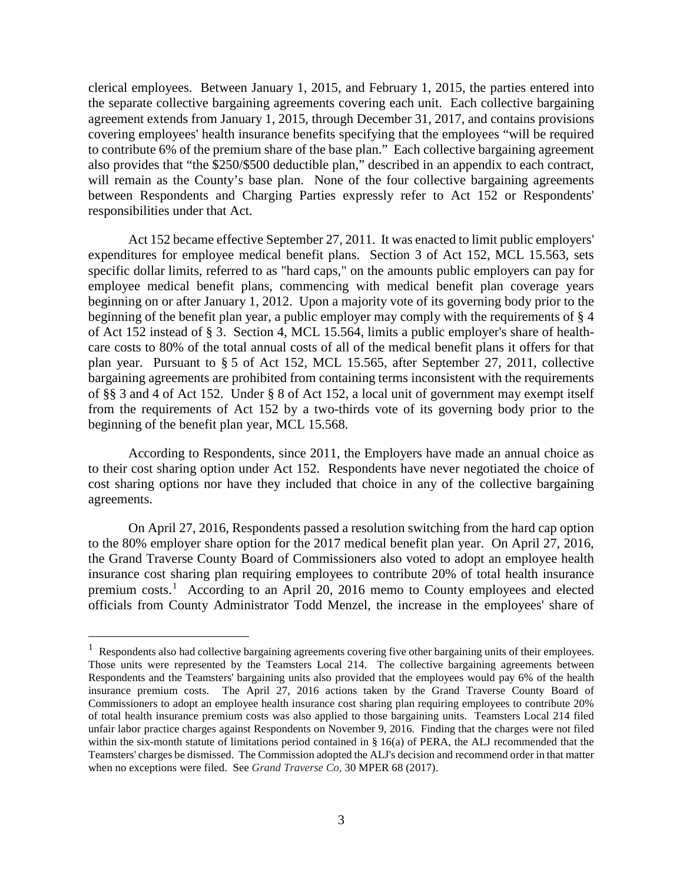clerical employees. Between January 1, 2015, and February 1, 2015, the parties entered into the separate collective bargaining agreements covering each unit. Each collective bargaining agreement extends from January 1, 2015, through December 31, 2017, and contains provisions covering employees' health insurance benefits specifying that the employees "will be required to contribute 6% of the premium share of the base plan." Each collective bargaining agreement also provides that "the \$250/\$500 deductible plan," described in an appendix to each contract, will remain as the County's base plan. None of the four collective bargaining agreements between Respondents and Charging Parties expressly refer to Act 152 or Respondents' responsibilities under that Act.

Act 152 became effective September 27, 2011. It was enacted to limit public employers' expenditures for employee medical benefit plans. Section 3 of Act 152, MCL 15.563, sets specific dollar limits, referred to as "hard caps," on the amounts public employers can pay for employee medical benefit plans, commencing with medical benefit plan coverage years beginning on or after January 1, 2012. Upon a majority vote of its governing body prior to the beginning of the benefit plan year, a public employer may comply with the requirements of § 4 of Act 152 instead of § 3. Section 4, MCL 15.564, limits a public employer's share of healthcare costs to 80% of the total annual costs of all of the medical benefit plans it offers for that plan year. Pursuant to § 5 of Act 152, MCL 15.565, after September 27, 2011, collective bargaining agreements are prohibited from containing terms inconsistent with the requirements of §§ 3 and 4 of Act 152. Under § 8 of Act 152, a local unit of government may exempt itself from the requirements of Act 152 by a two-thirds vote of its governing body prior to the beginning of the benefit plan year, MCL 15.568.

According to Respondents, since 2011, the Employers have made an annual choice as to their cost sharing option under Act 152. Respondents have never negotiated the choice of cost sharing options nor have they included that choice in any of the collective bargaining agreements.

On April 27, 2016, Respondents passed a resolution switching from the hard cap option to the 80% employer share option for the 2017 medical benefit plan year. On April 27, 2016, the Grand Traverse County Board of Commissioners also voted to adopt an employee health insurance cost sharing plan requiring employees to contribute 20% of total health insurance premium costs.<sup>[1](#page-2-0)</sup> According to an April 20, 2016 memo to County employees and elected officials from County Administrator Todd Menzel, the increase in the employees' share of

<span id="page-2-0"></span> $\frac{1}{1}$ <sup>1</sup> Respondents also had collective bargaining agreements covering five other bargaining units of their employees. Those units were represented by the Teamsters Local 214. The collective bargaining agreements between Respondents and the Teamsters' bargaining units also provided that the employees would pay 6% of the health insurance premium costs. The April 27, 2016 actions taken by the Grand Traverse County Board of Commissioners to adopt an employee health insurance cost sharing plan requiring employees to contribute 20% of total health insurance premium costs was also applied to those bargaining units. Teamsters Local 214 filed unfair labor practice charges against Respondents on November 9, 2016. Finding that the charges were not filed within the six-month statute of limitations period contained in  $\S$  16(a) of PERA, the ALJ recommended that the Teamsters' charges be dismissed. The Commission adopted the ALJ's decision and recommend order in that matter when no exceptions were filed. See *Grand Traverse Co*, 30 MPER 68 (2017).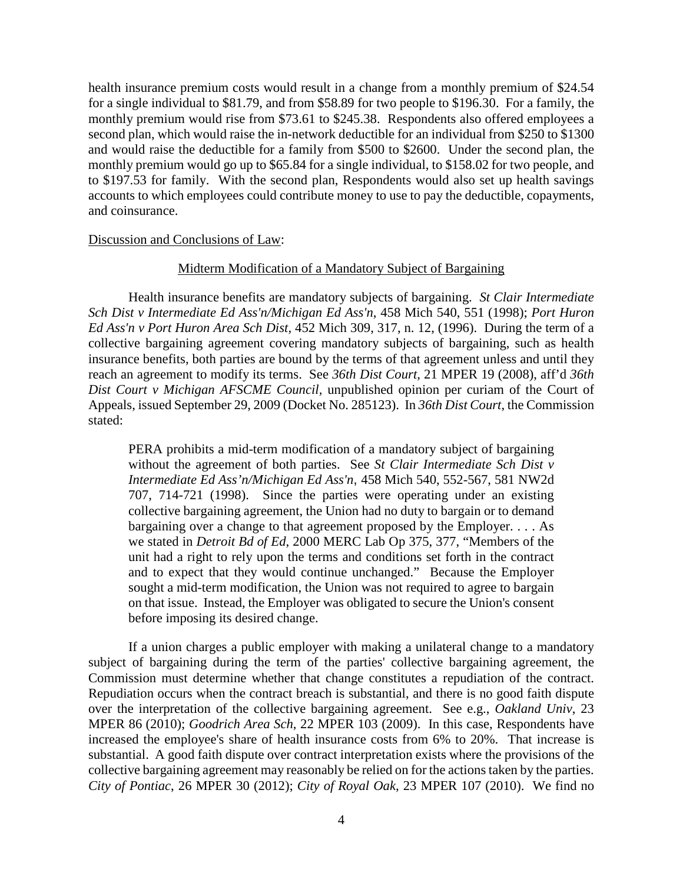health insurance premium costs would result in a change from a monthly premium of \$24.54 for a single individual to \$81.79, and from \$58.89 for two people to \$196.30. For a family, the monthly premium would rise from \$73.61 to \$245.38. Respondents also offered employees a second plan, which would raise the in-network deductible for an individual from \$250 to \$1300 and would raise the deductible for a family from \$500 to \$2600. Under the second plan, the monthly premium would go up to \$65.84 for a single individual, to \$158.02 for two people, and to \$197.53 for family. With the second plan, Respondents would also set up health savings accounts to which employees could contribute money to use to pay the deductible, copayments, and coinsurance.

#### Discussion and Conclusions of Law:

#### Midterm Modification of a Mandatory Subject of Bargaining

Health insurance benefits are mandatory subjects of bargaining. *St Clair Intermediate Sch Dist v Intermediate Ed Ass'n/Michigan Ed Ass'n*, 458 Mich 540, 551 (1998); *Port Huron Ed Ass'n v Port Huron Area Sch Dist,* 452 Mich 309, 317, n. 12, (1996). During the term of a collective bargaining agreement covering mandatory subjects of bargaining, such as health insurance benefits, both parties are bound by the terms of that agreement unless and until they reach an agreement to modify its terms. See *36th Dist Court,* 21 MPER 19 (2008), aff'd *36th Dist Court v Michigan AFSCME Council,* unpublished opinion per curiam of the Court of Appeals, issued September 29, 2009 (Docket No. 285123). In *36th Dist Court*, the Commission stated:

PERA prohibits a mid-term modification of a mandatory subject of bargaining without the agreement of both parties. See *St Clair Intermediate Sch Dist v Intermediate Ed Ass'n/Michigan Ed Ass'n*, 458 Mich 540, 552-567, 581 NW2d 707, 714-721 (1998). Since the parties were operating under an existing collective bargaining agreement, the Union had no duty to bargain or to demand bargaining over a change to that agreement proposed by the Employer. . . . As we stated in *Detroit Bd of Ed*, 2000 MERC Lab Op 375, 377, "Members of the unit had a right to rely upon the terms and conditions set forth in the contract and to expect that they would continue unchanged." Because the Employer sought a mid-term modification, the Union was not required to agree to bargain on that issue. Instead, the Employer was obligated to secure the Union's consent before imposing its desired change.

If a union charges a public employer with making a unilateral change to a mandatory subject of bargaining during the term of the parties' collective bargaining agreement, the Commission must determine whether that change constitutes a repudiation of the contract. Repudiation occurs when the contract breach is substantial, and there is no good faith dispute over the interpretation of the collective bargaining agreement. See e.g., *Oakland Univ*, 23 MPER 86 (2010); *Goodrich Area Sch*, 22 MPER 103 (2009). In this case, Respondents have increased the employee's share of health insurance costs from 6% to 20%. That increase is substantial. A good faith dispute over contract interpretation exists where the provisions of the collective bargaining agreement may reasonably be relied on for the actions taken by the parties. *City of Pontiac*, 26 MPER 30 (2012); *City of Royal Oak*, 23 MPER 107 (2010). We find no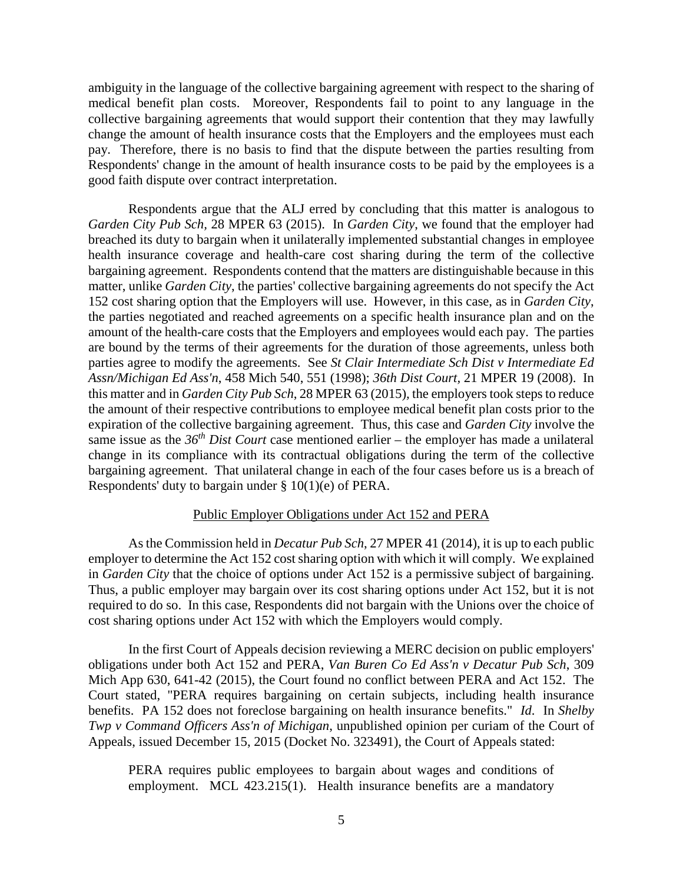ambiguity in the language of the collective bargaining agreement with respect to the sharing of medical benefit plan costs. Moreover, Respondents fail to point to any language in the collective bargaining agreements that would support their contention that they may lawfully change the amount of health insurance costs that the Employers and the employees must each pay. Therefore, there is no basis to find that the dispute between the parties resulting from Respondents' change in the amount of health insurance costs to be paid by the employees is a good faith dispute over contract interpretation.

Respondents argue that the ALJ erred by concluding that this matter is analogous to *Garden City Pub Sch,* 28 MPER 63 (2015). In *Garden City*, we found that the employer had breached its duty to bargain when it unilaterally implemented substantial changes in employee health insurance coverage and health-care cost sharing during the term of the collective bargaining agreement. Respondents contend that the matters are distinguishable because in this matter, unlike *Garden City*, the parties' collective bargaining agreements do not specify the Act 152 cost sharing option that the Employers will use. However, in this case, as in *Garden City*, the parties negotiated and reached agreements on a specific health insurance plan and on the amount of the health-care costs that the Employers and employees would each pay. The parties are bound by the terms of their agreements for the duration of those agreements, unless both parties agree to modify the agreements. See *St Clair Intermediate Sch Dist v Intermediate Ed Assn/Michigan Ed Ass'n*, 458 Mich 540, 551 (1998); *36th Dist Court,* 21 MPER 19 (2008). In this matter and in *Garden City Pub Sch*, 28 MPER 63 (2015)*,* the employers took steps to reduce the amount of their respective contributions to employee medical benefit plan costs prior to the expiration of the collective bargaining agreement. Thus, this case and *Garden City* involve the same issue as the *36th Dist Court* case mentioned earlier – the employer has made a unilateral change in its compliance with its contractual obligations during the term of the collective bargaining agreement. That unilateral change in each of the four cases before us is a breach of Respondents' duty to bargain under  $\S$  10(1)(e) of PERA.

# Public Employer Obligations under Act 152 and PERA

As the Commission held in *Decatur Pub Sch*, 27 MPER 41 (2014), it is up to each public employer to determine the Act 152 cost sharing option with which it will comply. We explained in *Garden City* that the choice of options under Act 152 is a permissive subject of bargaining. Thus, a public employer may bargain over its cost sharing options under Act 152, but it is not required to do so. In this case, Respondents did not bargain with the Unions over the choice of cost sharing options under Act 152 with which the Employers would comply.

In the first Court of Appeals decision reviewing a MERC decision on public employers' obligations under both Act 152 and PERA, *Van Buren Co Ed Ass'n v Decatur Pub Sch*, 309 Mich App 630, 641-42 (2015), the Court found no conflict between PERA and Act 152. The Court stated, "PERA requires bargaining on certain subjects, including health insurance benefits. PA 152 does not foreclose bargaining on health insurance benefits." *Id*. In *Shelby Twp v Command Officers Ass'n of Michigan*, unpublished opinion per curiam of the Court of Appeals, issued December 15, 2015 (Docket No. 323491), the Court of Appeals stated:

PERA requires public employees to bargain about wages and conditions of employment. MCL 423.215(1). Health insurance benefits are a mandatory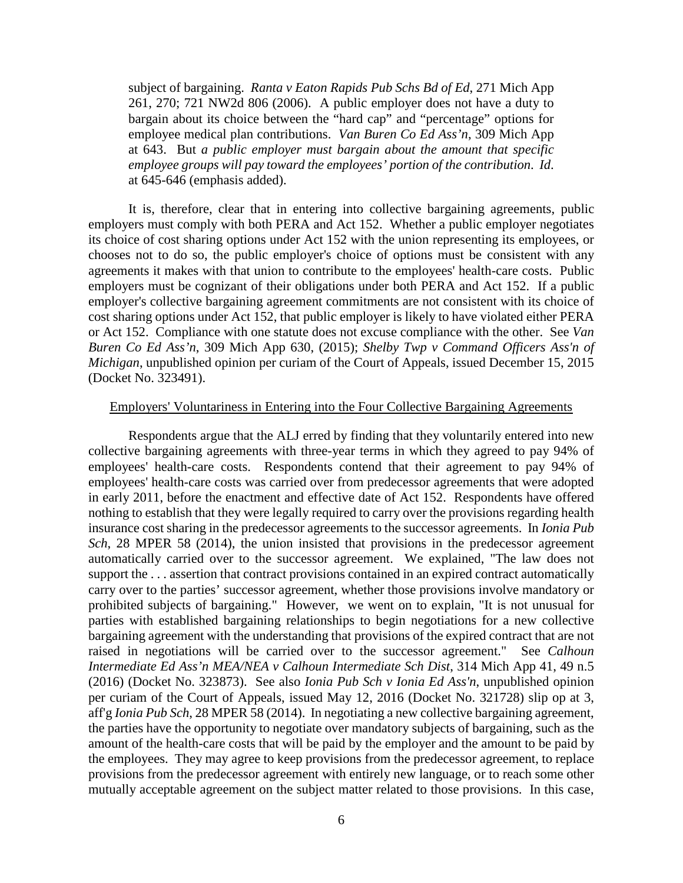subject of bargaining. *Ranta v Eaton Rapids Pub Schs Bd of Ed*, 271 Mich App 261, 270; 721 NW2d 806 (2006). A public employer does not have a duty to bargain about its choice between the "hard cap" and "percentage" options for employee medical plan contributions. *Van Buren Co Ed Ass'n*, 309 Mich App at 643. But *a public employer must bargain about the amount that specific employee groups will pay toward the employees' portion of the contribution*. *Id*. at 645-646 (emphasis added).

It is, therefore, clear that in entering into collective bargaining agreements, public employers must comply with both PERA and Act 152. Whether a public employer negotiates its choice of cost sharing options under Act 152 with the union representing its employees, or chooses not to do so, the public employer's choice of options must be consistent with any agreements it makes with that union to contribute to the employees' health-care costs. Public employers must be cognizant of their obligations under both PERA and Act 152. If a public employer's collective bargaining agreement commitments are not consistent with its choice of cost sharing options under Act 152, that public employer is likely to have violated either PERA or Act 152. Compliance with one statute does not excuse compliance with the other. See *Van Buren Co Ed Ass'n*, 309 Mich App 630, (2015); *Shelby Twp v Command Officers Ass'n of Michigan*, unpublished opinion per curiam of the Court of Appeals, issued December 15, 2015 (Docket No. 323491).

#### Employers' Voluntariness in Entering into the Four Collective Bargaining Agreements

Respondents argue that the ALJ erred by finding that they voluntarily entered into new collective bargaining agreements with three-year terms in which they agreed to pay 94% of employees' health-care costs. Respondents contend that their agreement to pay 94% of employees' health-care costs was carried over from predecessor agreements that were adopted in early 2011, before the enactment and effective date of Act 152. Respondents have offered nothing to establish that they were legally required to carry over the provisions regarding health insurance cost sharing in the predecessor agreements to the successor agreements. In *Ionia Pub Sch*, 28 MPER 58 (2014), the union insisted that provisions in the predecessor agreement automatically carried over to the successor agreement. We explained, "The law does not support the ... assertion that contract provisions contained in an expired contract automatically carry over to the parties' successor agreement, whether those provisions involve mandatory or prohibited subjects of bargaining." However, we went on to explain, "It is not unusual for parties with established bargaining relationships to begin negotiations for a new collective bargaining agreement with the understanding that provisions of the expired contract that are not raised in negotiations will be carried over to the successor agreement." See *Calhoun Intermediate Ed Ass'n MEA/NEA v Calhoun Intermediate Sch Dist*, 314 Mich App 41, 49 n.5 (2016) (Docket No. 323873). See also *Ionia Pub Sch v Ionia Ed Ass'n*, unpublished opinion per curiam of the Court of Appeals, issued May 12, 2016 (Docket No. 321728) slip op at 3, aff'g *Ionia Pub Sch*, 28 MPER 58 (2014). In negotiating a new collective bargaining agreement, the parties have the opportunity to negotiate over mandatory subjects of bargaining, such as the amount of the health-care costs that will be paid by the employer and the amount to be paid by the employees. They may agree to keep provisions from the predecessor agreement, to replace provisions from the predecessor agreement with entirely new language, or to reach some other mutually acceptable agreement on the subject matter related to those provisions. In this case,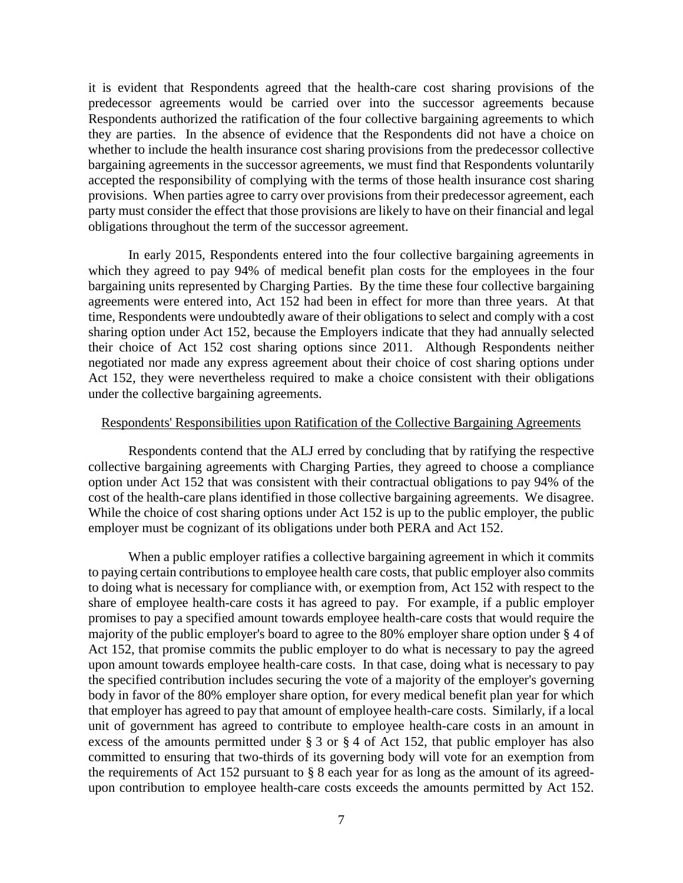it is evident that Respondents agreed that the health-care cost sharing provisions of the predecessor agreements would be carried over into the successor agreements because Respondents authorized the ratification of the four collective bargaining agreements to which they are parties. In the absence of evidence that the Respondents did not have a choice on whether to include the health insurance cost sharing provisions from the predecessor collective bargaining agreements in the successor agreements, we must find that Respondents voluntarily accepted the responsibility of complying with the terms of those health insurance cost sharing provisions. When parties agree to carry over provisions from their predecessor agreement, each party must consider the effect that those provisions are likely to have on their financial and legal obligations throughout the term of the successor agreement.

In early 2015, Respondents entered into the four collective bargaining agreements in which they agreed to pay 94% of medical benefit plan costs for the employees in the four bargaining units represented by Charging Parties. By the time these four collective bargaining agreements were entered into, Act 152 had been in effect for more than three years. At that time, Respondents were undoubtedly aware of their obligations to select and comply with a cost sharing option under Act 152, because the Employers indicate that they had annually selected their choice of Act 152 cost sharing options since 2011. Although Respondents neither negotiated nor made any express agreement about their choice of cost sharing options under Act 152, they were nevertheless required to make a choice consistent with their obligations under the collective bargaining agreements.

#### Respondents' Responsibilities upon Ratification of the Collective Bargaining Agreements

Respondents contend that the ALJ erred by concluding that by ratifying the respective collective bargaining agreements with Charging Parties, they agreed to choose a compliance option under Act 152 that was consistent with their contractual obligations to pay 94% of the cost of the health-care plans identified in those collective bargaining agreements. We disagree. While the choice of cost sharing options under Act 152 is up to the public employer, the public employer must be cognizant of its obligations under both PERA and Act 152.

When a public employer ratifies a collective bargaining agreement in which it commits to paying certain contributions to employee health care costs, that public employer also commits to doing what is necessary for compliance with, or exemption from, Act 152 with respect to the share of employee health-care costs it has agreed to pay. For example, if a public employer promises to pay a specified amount towards employee health-care costs that would require the majority of the public employer's board to agree to the 80% employer share option under § 4 of Act 152, that promise commits the public employer to do what is necessary to pay the agreed upon amount towards employee health-care costs. In that case, doing what is necessary to pay the specified contribution includes securing the vote of a majority of the employer's governing body in favor of the 80% employer share option, for every medical benefit plan year for which that employer has agreed to pay that amount of employee health-care costs. Similarly, if a local unit of government has agreed to contribute to employee health-care costs in an amount in excess of the amounts permitted under § 3 or § 4 of Act 152, that public employer has also committed to ensuring that two-thirds of its governing body will vote for an exemption from the requirements of Act 152 pursuant to § 8 each year for as long as the amount of its agreedupon contribution to employee health-care costs exceeds the amounts permitted by Act 152.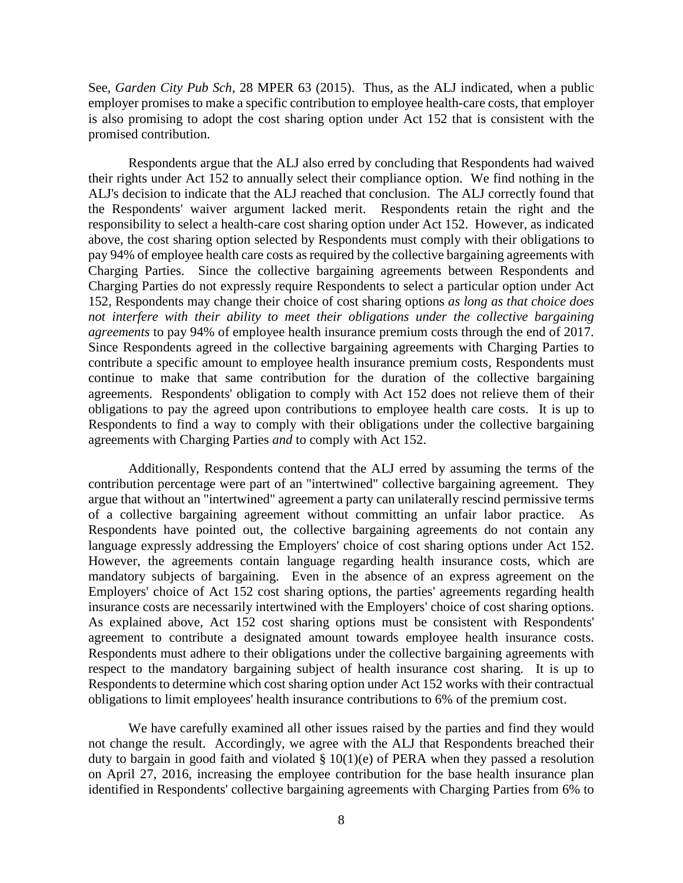See, *Garden City Pub Sch*, 28 MPER 63 (2015). Thus, as the ALJ indicated, when a public employer promises to make a specific contribution to employee health-care costs, that employer is also promising to adopt the cost sharing option under Act 152 that is consistent with the promised contribution.

Respondents argue that the ALJ also erred by concluding that Respondents had waived their rights under Act 152 to annually select their compliance option. We find nothing in the ALJ's decision to indicate that the ALJ reached that conclusion. The ALJ correctly found that the Respondents' waiver argument lacked merit. Respondents retain the right and the responsibility to select a health-care cost sharing option under Act 152. However, as indicated above, the cost sharing option selected by Respondents must comply with their obligations to pay 94% of employee health care costs as required by the collective bargaining agreements with Charging Parties. Since the collective bargaining agreements between Respondents and Charging Parties do not expressly require Respondents to select a particular option under Act 152, Respondents may change their choice of cost sharing options *as long as that choice does not interfere with their ability to meet their obligations under the collective bargaining agreements* to pay 94% of employee health insurance premium costs through the end of 2017. Since Respondents agreed in the collective bargaining agreements with Charging Parties to contribute a specific amount to employee health insurance premium costs, Respondents must continue to make that same contribution for the duration of the collective bargaining agreements. Respondents' obligation to comply with Act 152 does not relieve them of their obligations to pay the agreed upon contributions to employee health care costs. It is up to Respondents to find a way to comply with their obligations under the collective bargaining agreements with Charging Parties *and* to comply with Act 152.

Additionally, Respondents contend that the ALJ erred by assuming the terms of the contribution percentage were part of an "intertwined" collective bargaining agreement. They argue that without an "intertwined" agreement a party can unilaterally rescind permissive terms of a collective bargaining agreement without committing an unfair labor practice. As Respondents have pointed out, the collective bargaining agreements do not contain any language expressly addressing the Employers' choice of cost sharing options under Act 152. However, the agreements contain language regarding health insurance costs, which are mandatory subjects of bargaining. Even in the absence of an express agreement on the Employers' choice of Act 152 cost sharing options, the parties' agreements regarding health insurance costs are necessarily intertwined with the Employers' choice of cost sharing options. As explained above, Act 152 cost sharing options must be consistent with Respondents' agreement to contribute a designated amount towards employee health insurance costs. Respondents must adhere to their obligations under the collective bargaining agreements with respect to the mandatory bargaining subject of health insurance cost sharing. It is up to Respondents to determine which cost sharing option under Act 152 works with their contractual obligations to limit employees' health insurance contributions to 6% of the premium cost.

We have carefully examined all other issues raised by the parties and find they would not change the result. Accordingly, we agree with the ALJ that Respondents breached their duty to bargain in good faith and violated § 10(1)(e) of PERA when they passed a resolution on April 27, 2016, increasing the employee contribution for the base health insurance plan identified in Respondents' collective bargaining agreements with Charging Parties from 6% to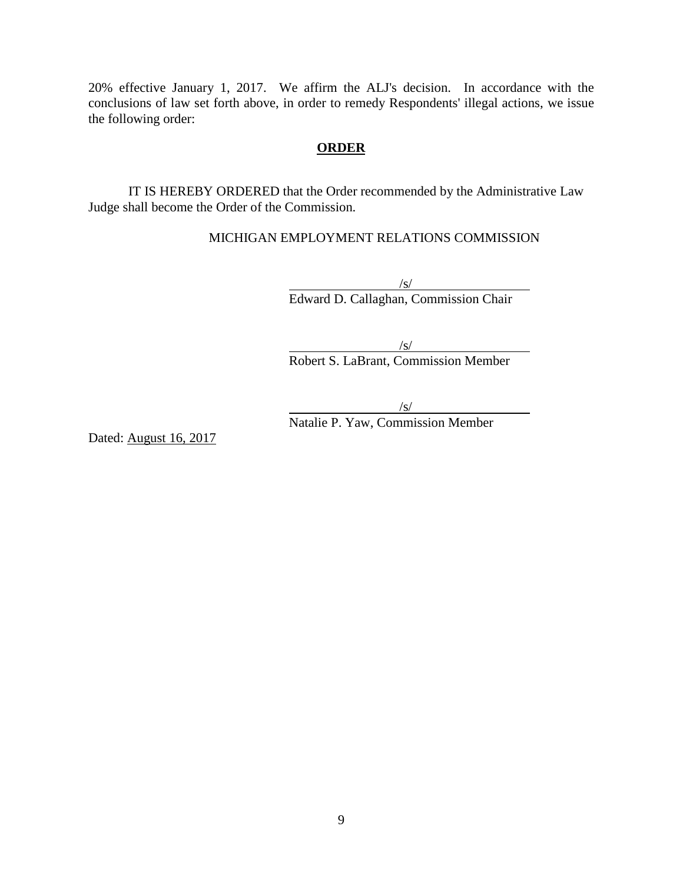20% effective January 1, 2017. We affirm the ALJ's decision. In accordance with the conclusions of law set forth above, in order to remedy Respondents' illegal actions, we issue the following order:

#### **ORDER**

IT IS HEREBY ORDERED that the Order recommended by the Administrative Law Judge shall become the Order of the Commission.

MICHIGAN EMPLOYMENT RELATIONS COMMISSION

/s/ Edward D. Callaghan, Commission Chair

/s/

Robert S. LaBrant, Commission Member

/s/

Natalie P. Yaw, Commission Member

Dated: August 16, 2017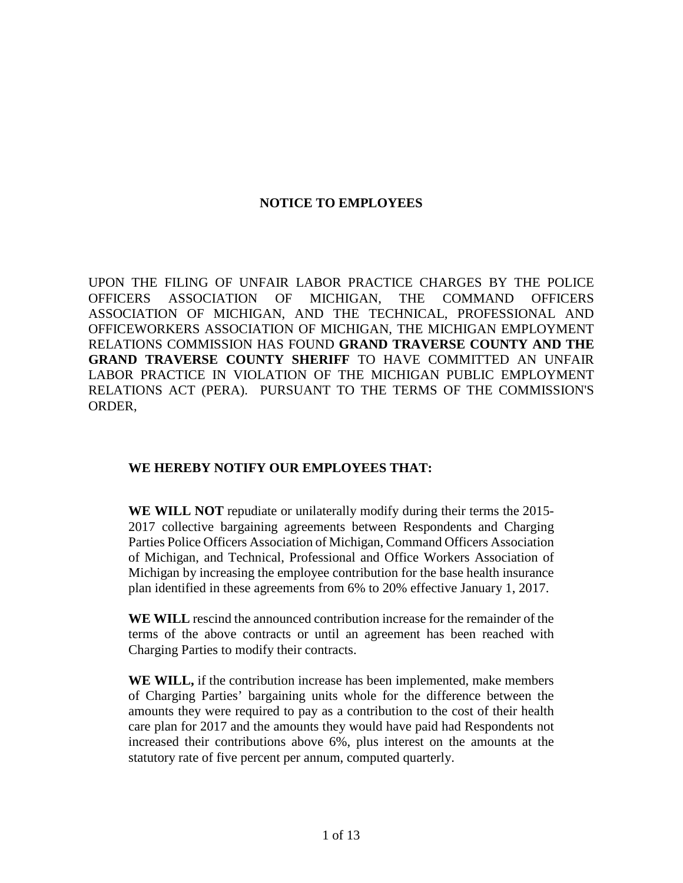# **NOTICE TO EMPLOYEES**

UPON THE FILING OF UNFAIR LABOR PRACTICE CHARGES BY THE POLICE OFFICERS ASSOCIATION OF MICHIGAN, THE COMMAND OFFICERS ASSOCIATION OF MICHIGAN, AND THE TECHNICAL, PROFESSIONAL AND OFFICEWORKERS ASSOCIATION OF MICHIGAN, THE MICHIGAN EMPLOYMENT RELATIONS COMMISSION HAS FOUND **GRAND TRAVERSE COUNTY AND THE GRAND TRAVERSE COUNTY SHERIFF** TO HAVE COMMITTED AN UNFAIR LABOR PRACTICE IN VIOLATION OF THE MICHIGAN PUBLIC EMPLOYMENT RELATIONS ACT (PERA). PURSUANT TO THE TERMS OF THE COMMISSION'S ORDER,

## **WE HEREBY NOTIFY OUR EMPLOYEES THAT:**

**WE WILL NOT** repudiate or unilaterally modify during their terms the 2015- 2017 collective bargaining agreements between Respondents and Charging Parties Police Officers Association of Michigan, Command Officers Association of Michigan, and Technical, Professional and Office Workers Association of Michigan by increasing the employee contribution for the base health insurance plan identified in these agreements from 6% to 20% effective January 1, 2017.

**WE WILL** rescind the announced contribution increase for the remainder of the terms of the above contracts or until an agreement has been reached with Charging Parties to modify their contracts.

**WE WILL,** if the contribution increase has been implemented, make members of Charging Parties' bargaining units whole for the difference between the amounts they were required to pay as a contribution to the cost of their health care plan for 2017 and the amounts they would have paid had Respondents not increased their contributions above 6%, plus interest on the amounts at the statutory rate of five percent per annum, computed quarterly.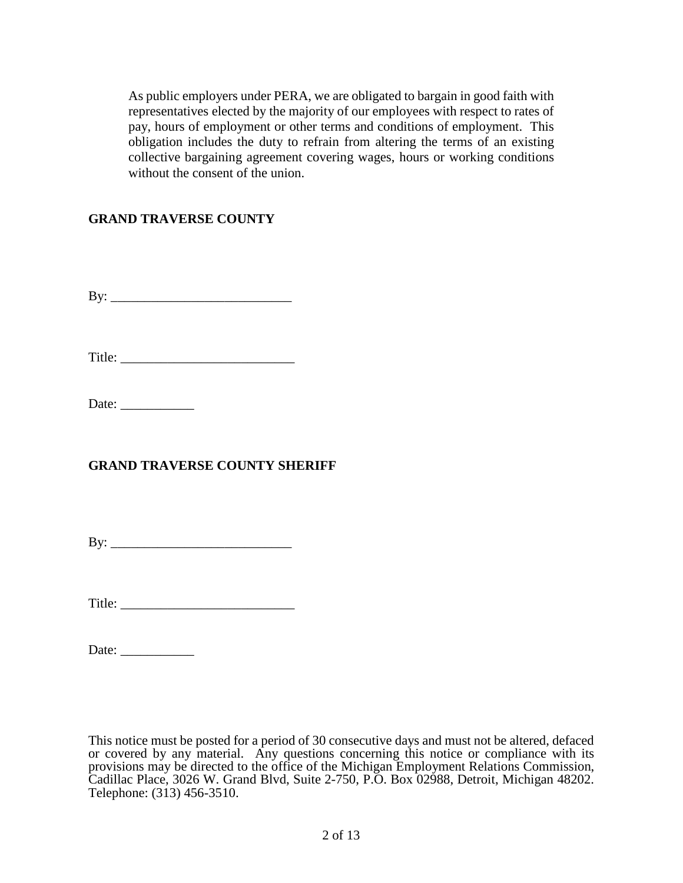As public employers under PERA, we are obligated to bargain in good faith with representatives elected by the majority of our employees with respect to rates of pay, hours of employment or other terms and conditions of employment. This obligation includes the duty to refrain from altering the terms of an existing collective bargaining agreement covering wages, hours or working conditions without the consent of the union.

# **GRAND TRAVERSE COUNTY**

By: \_\_\_\_\_\_\_\_\_\_\_\_\_\_\_\_\_\_\_\_\_\_\_\_\_\_\_

Title: \_\_\_\_\_\_\_\_\_\_\_\_\_\_\_\_\_\_\_\_\_\_\_\_\_\_

Date: \_\_\_\_\_\_\_\_\_\_\_

# **GRAND TRAVERSE COUNTY SHERIFF**

By: \_\_\_\_\_\_\_\_\_\_\_\_\_\_\_\_\_\_\_\_\_\_\_\_\_\_\_

Title: \_\_\_\_\_\_\_\_\_\_\_\_\_\_\_\_\_\_\_\_\_\_\_\_\_\_

Date: \_\_\_\_\_\_\_\_\_\_\_

This notice must be posted for a period of 30 consecutive days and must not be altered, defaced or covered by any material. Any questions concerning this notice or compliance with its provisions may be directed to the office of the Michigan Employment Relations Commission, Cadillac Place, 3026 W. Grand Blvd, Suite 2-750, P.O. Box 02988, Detroit, Michigan 48202. Telephone: (313) 456-3510.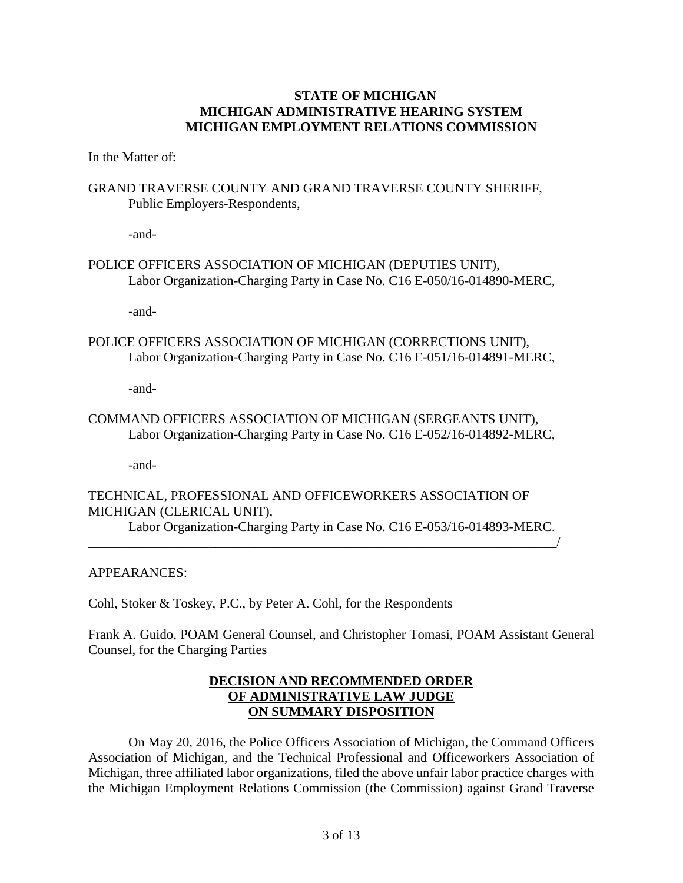# **STATE OF MICHIGAN MICHIGAN ADMINISTRATIVE HEARING SYSTEM MICHIGAN EMPLOYMENT RELATIONS COMMISSION**

In the Matter of:

## GRAND TRAVERSE COUNTY AND GRAND TRAVERSE COUNTY SHERIFF, Public Employers-Respondents,

-and-

POLICE OFFICERS ASSOCIATION OF MICHIGAN (DEPUTIES UNIT), Labor Organization-Charging Party in Case No. C16 E-050/16-014890-MERC,

-and-

POLICE OFFICERS ASSOCIATION OF MICHIGAN (CORRECTIONS UNIT), Labor Organization-Charging Party in Case No. C16 E-051/16-014891-MERC,

-and-

COMMAND OFFICERS ASSOCIATION OF MICHIGAN (SERGEANTS UNIT), Labor Organization-Charging Party in Case No. C16 E-052/16-014892-MERC,

-and-

# TECHNICAL, PROFESSIONAL AND OFFICEWORKERS ASSOCIATION OF MICHIGAN (CLERICAL UNIT), Labor Organization-Charging Party in Case No. C16 E-053/16-014893-MERC.

\_\_\_\_\_\_\_\_\_\_\_\_\_\_\_\_\_\_\_\_\_\_\_\_\_\_\_\_\_\_\_\_\_\_\_\_\_\_\_\_\_\_\_\_\_\_\_\_\_\_\_\_\_\_\_\_\_\_\_\_\_\_\_\_\_\_\_\_\_\_/

APPEARANCES:

Cohl, Stoker & Toskey, P.C., by Peter A. Cohl, for the Respondents

Frank A. Guido, POAM General Counsel, and Christopher Tomasi, POAM Assistant General Counsel, for the Charging Parties

# **DECISION AND RECOMMENDED ORDER OF ADMINISTRATIVE LAW JUDGE ON SUMMARY DISPOSITION**

On May 20, 2016, the Police Officers Association of Michigan, the Command Officers Association of Michigan, and the Technical Professional and Officeworkers Association of Michigan, three affiliated labor organizations, filed the above unfair labor practice charges with the Michigan Employment Relations Commission (the Commission) against Grand Traverse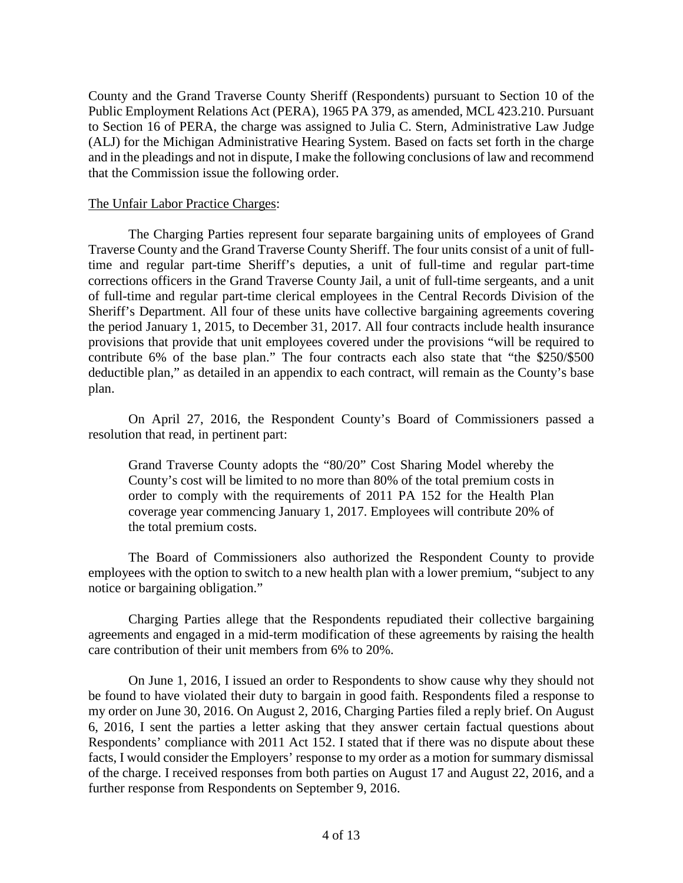County and the Grand Traverse County Sheriff (Respondents) pursuant to Section 10 of the Public Employment Relations Act (PERA), 1965 PA 379, as amended, MCL 423.210. Pursuant to Section 16 of PERA, the charge was assigned to Julia C. Stern, Administrative Law Judge (ALJ) for the Michigan Administrative Hearing System. Based on facts set forth in the charge and in the pleadings and not in dispute, I make the following conclusions of law and recommend that the Commission issue the following order.

## The Unfair Labor Practice Charges:

The Charging Parties represent four separate bargaining units of employees of Grand Traverse County and the Grand Traverse County Sheriff. The four units consist of a unit of fulltime and regular part-time Sheriff's deputies, a unit of full-time and regular part-time corrections officers in the Grand Traverse County Jail, a unit of full-time sergeants, and a unit of full-time and regular part-time clerical employees in the Central Records Division of the Sheriff's Department. All four of these units have collective bargaining agreements covering the period January 1, 2015, to December 31, 2017. All four contracts include health insurance provisions that provide that unit employees covered under the provisions "will be required to contribute 6% of the base plan." The four contracts each also state that "the \$250/\$500 deductible plan," as detailed in an appendix to each contract, will remain as the County's base plan.

On April 27, 2016, the Respondent County's Board of Commissioners passed a resolution that read, in pertinent part:

Grand Traverse County adopts the "80/20" Cost Sharing Model whereby the County's cost will be limited to no more than 80% of the total premium costs in order to comply with the requirements of 2011 PA 152 for the Health Plan coverage year commencing January 1, 2017. Employees will contribute 20% of the total premium costs.

The Board of Commissioners also authorized the Respondent County to provide employees with the option to switch to a new health plan with a lower premium, "subject to any notice or bargaining obligation."

Charging Parties allege that the Respondents repudiated their collective bargaining agreements and engaged in a mid-term modification of these agreements by raising the health care contribution of their unit members from 6% to 20%.

On June 1, 2016, I issued an order to Respondents to show cause why they should not be found to have violated their duty to bargain in good faith. Respondents filed a response to my order on June 30, 2016. On August 2, 2016, Charging Parties filed a reply brief. On August 6, 2016, I sent the parties a letter asking that they answer certain factual questions about Respondents' compliance with 2011 Act 152. I stated that if there was no dispute about these facts, I would consider the Employers' response to my order as a motion for summary dismissal of the charge. I received responses from both parties on August 17 and August 22, 2016, and a further response from Respondents on September 9, 2016.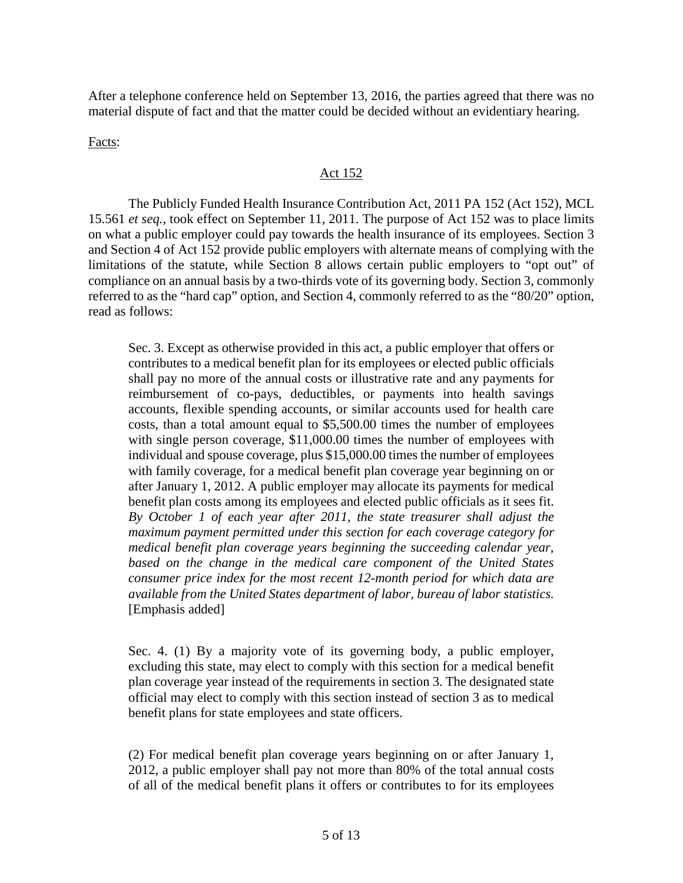After a telephone conference held on September 13, 2016, the parties agreed that there was no material dispute of fact and that the matter could be decided without an evidentiary hearing.

Facts:

### Act 152

The Publicly Funded Health Insurance Contribution Act, 2011 PA 152 (Act 152), MCL 15.561 *et seq.*, took effect on September 11, 2011. The purpose of Act 152 was to place limits on what a public employer could pay towards the health insurance of its employees. Section 3 and Section 4 of Act 152 provide public employers with alternate means of complying with the limitations of the statute, while Section 8 allows certain public employers to "opt out" of compliance on an annual basis by a two-thirds vote of its governing body. Section 3, commonly referred to as the "hard cap" option, and Section 4, commonly referred to as the "80/20" option, read as follows:

Sec. 3. Except as otherwise provided in this act, a public employer that offers or contributes to a medical benefit plan for its employees or elected public officials shall pay no more of the annual costs or illustrative rate and any payments for reimbursement of co-pays, deductibles, or payments into health savings accounts, flexible spending accounts, or similar accounts used for health care costs, than a total amount equal to \$5,500.00 times the number of employees with single person coverage, \$11,000.00 times the number of employees with individual and spouse coverage, plus \$15,000.00 times the number of employees with family coverage, for a medical benefit plan coverage year beginning on or after January 1, 2012. A public employer may allocate its payments for medical benefit plan costs among its employees and elected public officials as it sees fit. *By October 1 of each year after 2011, the state treasurer shall adjust the maximum payment permitted under this section for each coverage category for medical benefit plan coverage years beginning the succeeding calendar year, based on the change in the medical care component of the United States consumer price index for the most recent 12-month period for which data are available from the United States department of labor, bureau of labor statistics.* [Emphasis added]

Sec. 4. (1) By a majority vote of its governing body, a public employer, excluding this state, may elect to comply with this section for a medical benefit plan coverage year instead of the requirements in section 3. The designated state official may elect to comply with this section instead of section 3 as to medical benefit plans for state employees and state officers.

(2) For medical benefit plan coverage years beginning on or after January 1, 2012, a public employer shall pay not more than 80% of the total annual costs of all of the medical benefit plans it offers or contributes to for its employees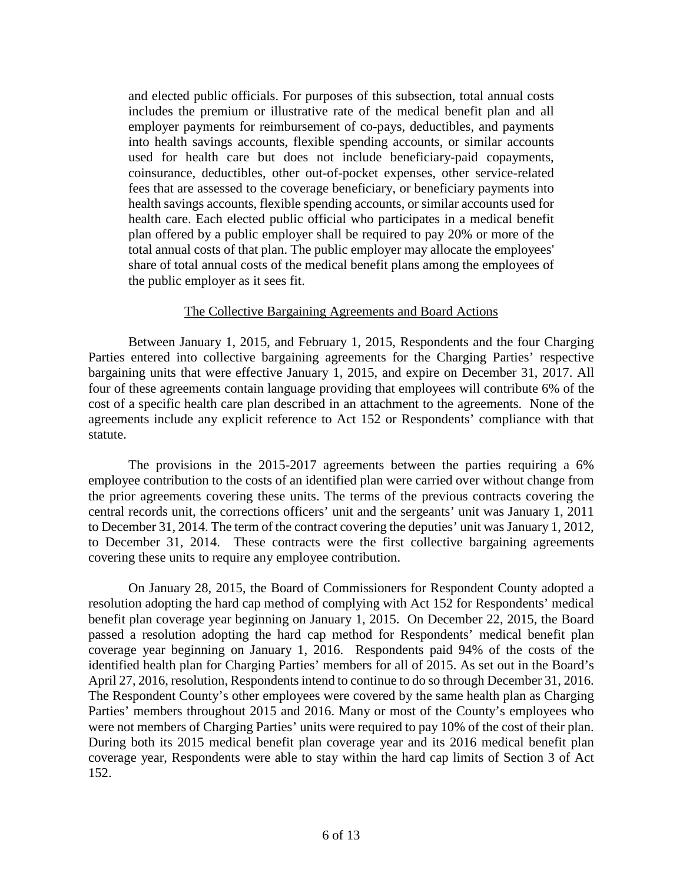and elected public officials. For purposes of this subsection, total annual costs includes the premium or illustrative rate of the medical benefit plan and all employer payments for reimbursement of co-pays, deductibles, and payments into health savings accounts, flexible spending accounts, or similar accounts used for health care but does not include beneficiary-paid copayments, coinsurance, deductibles, other out-of-pocket expenses, other service-related fees that are assessed to the coverage beneficiary, or beneficiary payments into health savings accounts, flexible spending accounts, or similar accounts used for health care. Each elected public official who participates in a medical benefit plan offered by a public employer shall be required to pay 20% or more of the total annual costs of that plan. The public employer may allocate the employees' share of total annual costs of the medical benefit plans among the employees of the public employer as it sees fit.

### The Collective Bargaining Agreements and Board Actions

Between January 1, 2015, and February 1, 2015, Respondents and the four Charging Parties entered into collective bargaining agreements for the Charging Parties' respective bargaining units that were effective January 1, 2015, and expire on December 31, 2017. All four of these agreements contain language providing that employees will contribute 6% of the cost of a specific health care plan described in an attachment to the agreements. None of the agreements include any explicit reference to Act 152 or Respondents' compliance with that statute.

The provisions in the 2015-2017 agreements between the parties requiring a 6% employee contribution to the costs of an identified plan were carried over without change from the prior agreements covering these units. The terms of the previous contracts covering the central records unit, the corrections officers' unit and the sergeants' unit was January 1, 2011 to December 31, 2014. The term of the contract covering the deputies' unit was January 1, 2012, to December 31, 2014. These contracts were the first collective bargaining agreements covering these units to require any employee contribution.

On January 28, 2015, the Board of Commissioners for Respondent County adopted a resolution adopting the hard cap method of complying with Act 152 for Respondents' medical benefit plan coverage year beginning on January 1, 2015. On December 22, 2015, the Board passed a resolution adopting the hard cap method for Respondents' medical benefit plan coverage year beginning on January 1, 2016. Respondents paid 94% of the costs of the identified health plan for Charging Parties' members for all of 2015. As set out in the Board's April 27, 2016, resolution, Respondents intend to continue to do so through December 31, 2016. The Respondent County's other employees were covered by the same health plan as Charging Parties' members throughout 2015 and 2016. Many or most of the County's employees who were not members of Charging Parties' units were required to pay 10% of the cost of their plan. During both its 2015 medical benefit plan coverage year and its 2016 medical benefit plan coverage year, Respondents were able to stay within the hard cap limits of Section 3 of Act 152.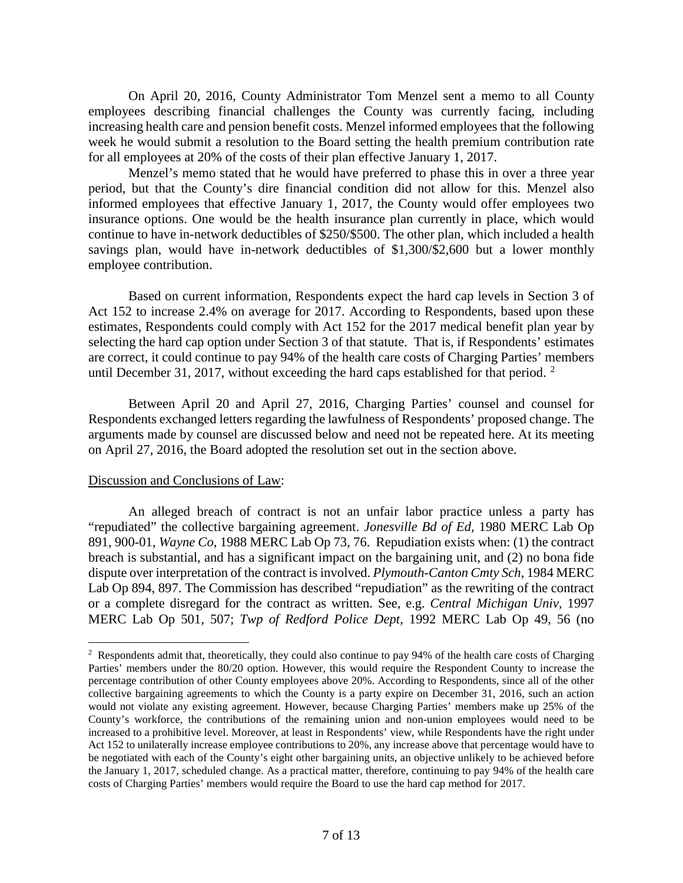On April 20, 2016, County Administrator Tom Menzel sent a memo to all County employees describing financial challenges the County was currently facing, including increasing health care and pension benefit costs. Menzel informed employees that the following week he would submit a resolution to the Board setting the health premium contribution rate for all employees at 20% of the costs of their plan effective January 1, 2017.

Menzel's memo stated that he would have preferred to phase this in over a three year period, but that the County's dire financial condition did not allow for this. Menzel also informed employees that effective January 1, 2017, the County would offer employees two insurance options. One would be the health insurance plan currently in place, which would continue to have in-network deductibles of \$250/\$500. The other plan, which included a health savings plan, would have in-network deductibles of \$1,300/\$2,600 but a lower monthly employee contribution.

Based on current information, Respondents expect the hard cap levels in Section 3 of Act 152 to increase 2.4% on average for 2017. According to Respondents, based upon these estimates, Respondents could comply with Act 152 for the 2017 medical benefit plan year by selecting the hard cap option under Section 3 of that statute. That is, if Respondents' estimates are correct, it could continue to pay 94% of the health care costs of Charging Parties' members until December 31, [2](#page-15-0)017, without exceeding the hard caps established for that period.  $2^{\circ}$ 

Between April 20 and April 27, 2016, Charging Parties' counsel and counsel for Respondents exchanged letters regarding the lawfulness of Respondents' proposed change. The arguments made by counsel are discussed below and need not be repeated here. At its meeting on April 27, 2016, the Board adopted the resolution set out in the section above.

#### Discussion and Conclusions of Law:

An alleged breach of contract is not an unfair labor practice unless a party has "repudiated" the collective bargaining agreement. *Jonesville Bd of Ed,* 1980 MERC Lab Op 891, 900-01, *Wayne Co,* 1988 MERC Lab Op 73, 76. Repudiation exists when: (1) the contract breach is substantial, and has a significant impact on the bargaining unit, and (2) no bona fide dispute over interpretation of the contract is involved. *Plymouth-Canton Cmty Sch,* 1984 MERC Lab Op 894, 897. The Commission has described "repudiation" as the rewriting of the contract or a complete disregard for the contract as written. See, e.g. *Central Michigan Univ,* 1997 MERC Lab Op 501, 507; *Twp of Redford Police Dept,* 1992 MERC Lab Op 49, 56 (no

<span id="page-15-0"></span> $\frac{1}{2}$ <sup>2</sup> Respondents admit that, theoretically, they could also continue to pay 94% of the health care costs of Charging Parties' members under the 80/20 option. However, this would require the Respondent County to increase the percentage contribution of other County employees above 20%. According to Respondents, since all of the other collective bargaining agreements to which the County is a party expire on December 31, 2016, such an action would not violate any existing agreement. However, because Charging Parties' members make up 25% of the County's workforce, the contributions of the remaining union and non-union employees would need to be increased to a prohibitive level. Moreover, at least in Respondents' view, while Respondents have the right under Act 152 to unilaterally increase employee contributions to 20%, any increase above that percentage would have to be negotiated with each of the County's eight other bargaining units, an objective unlikely to be achieved before the January 1, 2017, scheduled change. As a practical matter, therefore, continuing to pay 94% of the health care costs of Charging Parties' members would require the Board to use the hard cap method for 2017.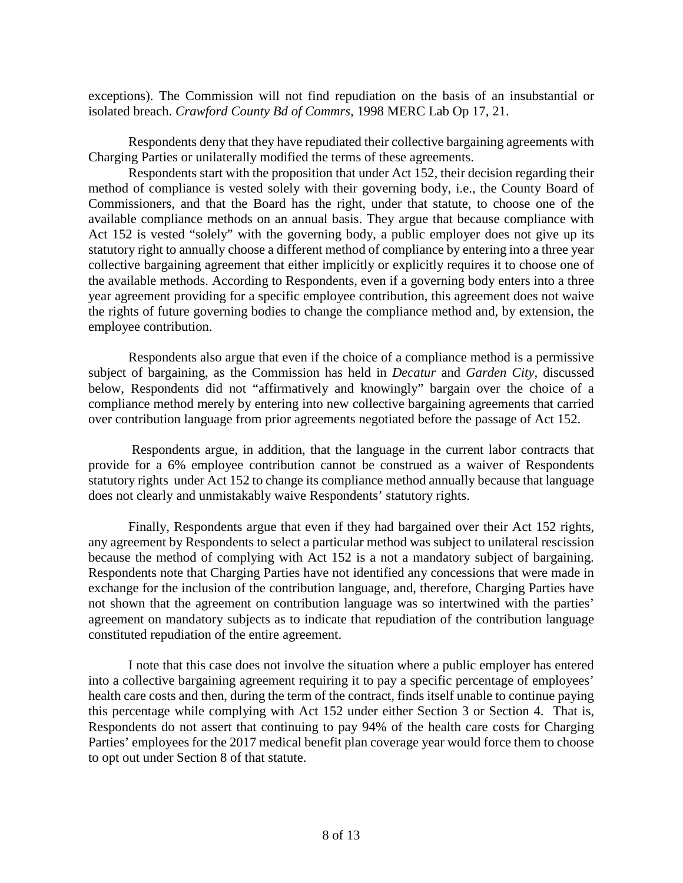exceptions). The Commission will not find repudiation on the basis of an insubstantial or isolated breach. *Crawford County Bd of Commrs,* 1998 MERC Lab Op 17, 21.

Respondents deny that they have repudiated their collective bargaining agreements with Charging Parties or unilaterally modified the terms of these agreements.

Respondents start with the proposition that under Act 152, their decision regarding their method of compliance is vested solely with their governing body, i.e., the County Board of Commissioners, and that the Board has the right, under that statute, to choose one of the available compliance methods on an annual basis. They argue that because compliance with Act 152 is vested "solely" with the governing body, a public employer does not give up its statutory right to annually choose a different method of compliance by entering into a three year collective bargaining agreement that either implicitly or explicitly requires it to choose one of the available methods. According to Respondents, even if a governing body enters into a three year agreement providing for a specific employee contribution, this agreement does not waive the rights of future governing bodies to change the compliance method and, by extension, the employee contribution.

Respondents also argue that even if the choice of a compliance method is a permissive subject of bargaining, as the Commission has held in *Decatur* and *Garden City,* discussed below, Respondents did not "affirmatively and knowingly" bargain over the choice of a compliance method merely by entering into new collective bargaining agreements that carried over contribution language from prior agreements negotiated before the passage of Act 152.

Respondents argue, in addition, that the language in the current labor contracts that provide for a 6% employee contribution cannot be construed as a waiver of Respondents statutory rights under Act 152 to change its compliance method annually because that language does not clearly and unmistakably waive Respondents' statutory rights.

Finally, Respondents argue that even if they had bargained over their Act 152 rights, any agreement by Respondents to select a particular method was subject to unilateral rescission because the method of complying with Act 152 is a not a mandatory subject of bargaining. Respondents note that Charging Parties have not identified any concessions that were made in exchange for the inclusion of the contribution language, and, therefore, Charging Parties have not shown that the agreement on contribution language was so intertwined with the parties' agreement on mandatory subjects as to indicate that repudiation of the contribution language constituted repudiation of the entire agreement.

I note that this case does not involve the situation where a public employer has entered into a collective bargaining agreement requiring it to pay a specific percentage of employees' health care costs and then, during the term of the contract, finds itself unable to continue paying this percentage while complying with Act 152 under either Section 3 or Section 4. That is, Respondents do not assert that continuing to pay 94% of the health care costs for Charging Parties' employees for the 2017 medical benefit plan coverage year would force them to choose to opt out under Section 8 of that statute.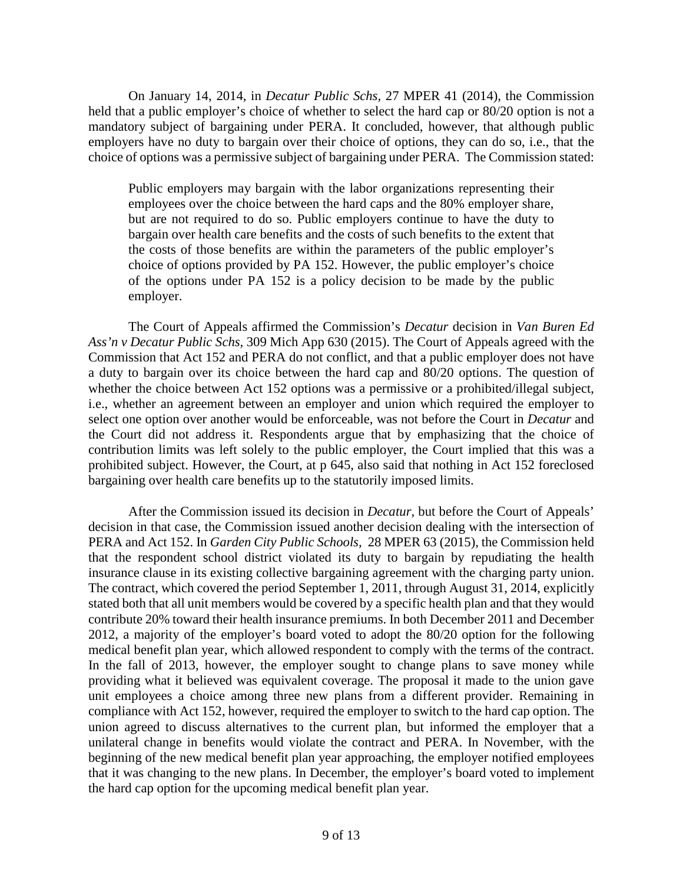On January 14, 2014, in *Decatur Public Schs,* 27 MPER 41 (2014), the Commission held that a public employer's choice of whether to select the hard cap or 80/20 option is not a mandatory subject of bargaining under PERA. It concluded, however, that although public employers have no duty to bargain over their choice of options, they can do so, i.e., that the choice of options was a permissive subject of bargaining under PERA. The Commission stated:

Public employers may bargain with the labor organizations representing their employees over the choice between the hard caps and the 80% employer share, but are not required to do so. Public employers continue to have the duty to bargain over health care benefits and the costs of such benefits to the extent that the costs of those benefits are within the parameters of the public employer's choice of options provided by PA 152. However, the public employer's choice of the options under PA 152 is a policy decision to be made by the public employer.

The Court of Appeals affirmed the Commission's *Decatur* decision in *Van Buren Ed Ass'n v Decatur Public Schs,* 309 Mich App 630 (2015). The Court of Appeals agreed with the Commission that Act 152 and PERA do not conflict, and that a public employer does not have a duty to bargain over its choice between the hard cap and 80/20 options. The question of whether the choice between Act 152 options was a permissive or a prohibited/illegal subject, i.e., whether an agreement between an employer and union which required the employer to select one option over another would be enforceable, was not before the Court in *Decatur* and the Court did not address it. Respondents argue that by emphasizing that the choice of contribution limits was left solely to the public employer, the Court implied that this was a prohibited subject. However, the Court, at p 645, also said that nothing in Act 152 foreclosed bargaining over health care benefits up to the statutorily imposed limits.

After the Commission issued its decision in *Decatur,* but before the Court of Appeals' decision in that case, the Commission issued another decision dealing with the intersection of PERA and Act 152. In *Garden City Public Schools,* 28 MPER 63 (2015), the Commission held that the respondent school district violated its duty to bargain by repudiating the health insurance clause in its existing collective bargaining agreement with the charging party union. The contract, which covered the period September 1, 2011, through August 31, 2014, explicitly stated both that all unit members would be covered by a specific health plan and that they would contribute 20% toward their health insurance premiums. In both December 2011 and December 2012, a majority of the employer's board voted to adopt the 80/20 option for the following medical benefit plan year, which allowed respondent to comply with the terms of the contract. In the fall of 2013, however, the employer sought to change plans to save money while providing what it believed was equivalent coverage. The proposal it made to the union gave unit employees a choice among three new plans from a different provider. Remaining in compliance with Act 152, however, required the employer to switch to the hard cap option. The union agreed to discuss alternatives to the current plan, but informed the employer that a unilateral change in benefits would violate the contract and PERA. In November, with the beginning of the new medical benefit plan year approaching, the employer notified employees that it was changing to the new plans. In December, the employer's board voted to implement the hard cap option for the upcoming medical benefit plan year.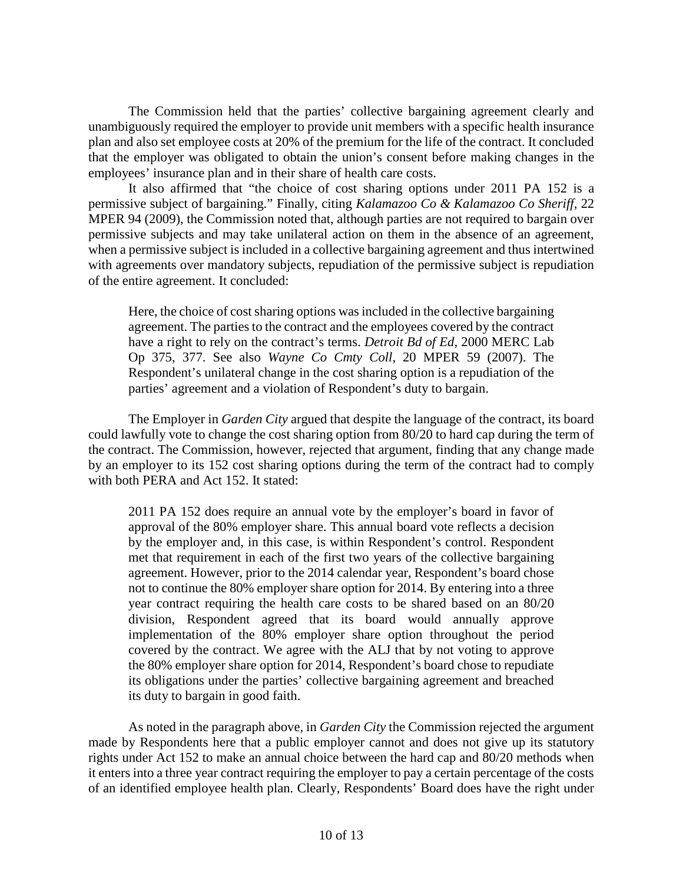The Commission held that the parties' collective bargaining agreement clearly and unambiguously required the employer to provide unit members with a specific health insurance plan and also set employee costs at 20% of the premium for the life of the contract. It concluded that the employer was obligated to obtain the union's consent before making changes in the employees' insurance plan and in their share of health care costs.

It also affirmed that "the choice of cost sharing options under 2011 PA 152 is a permissive subject of bargaining." Finally, citing *Kalamazoo Co & Kalamazoo Co Sheriff,* 22 MPER 94 (2009), the Commission noted that, although parties are not required to bargain over permissive subjects and may take unilateral action on them in the absence of an agreement, when a permissive subject is included in a collective bargaining agreement and thus intertwined with agreements over mandatory subjects, repudiation of the permissive subject is repudiation of the entire agreement. It concluded:

Here, the choice of cost sharing options was included in the collective bargaining agreement. The parties to the contract and the employees covered by the contract have a right to rely on the contract's terms. *Detroit Bd of Ed,* 2000 MERC Lab Op 375, 377. See also *Wayne Co Cmty Coll,* 20 MPER 59 (2007). The Respondent's unilateral change in the cost sharing option is a repudiation of the parties' agreement and a violation of Respondent's duty to bargain.

The Employer in *Garden City* argued that despite the language of the contract, its board could lawfully vote to change the cost sharing option from 80/20 to hard cap during the term of the contract. The Commission, however, rejected that argument, finding that any change made by an employer to its 152 cost sharing options during the term of the contract had to comply with both PERA and Act 152. It stated:

2011 PA 152 does require an annual vote by the employer's board in favor of approval of the 80% employer share. This annual board vote reflects a decision by the employer and, in this case, is within Respondent's control. Respondent met that requirement in each of the first two years of the collective bargaining agreement. However, prior to the 2014 calendar year, Respondent's board chose not to continue the 80% employer share option for 2014. By entering into a three year contract requiring the health care costs to be shared based on an 80/20 division, Respondent agreed that its board would annually approve implementation of the 80% employer share option throughout the period covered by the contract. We agree with the ALJ that by not voting to approve the 80% employer share option for 2014, Respondent's board chose to repudiate its obligations under the parties' collective bargaining agreement and breached its duty to bargain in good faith.

As noted in the paragraph above, in *Garden City* the Commission rejected the argument made by Respondents here that a public employer cannot and does not give up its statutory rights under Act 152 to make an annual choice between the hard cap and 80/20 methods when it enters into a three year contract requiring the employer to pay a certain percentage of the costs of an identified employee health plan. Clearly, Respondents' Board does have the right under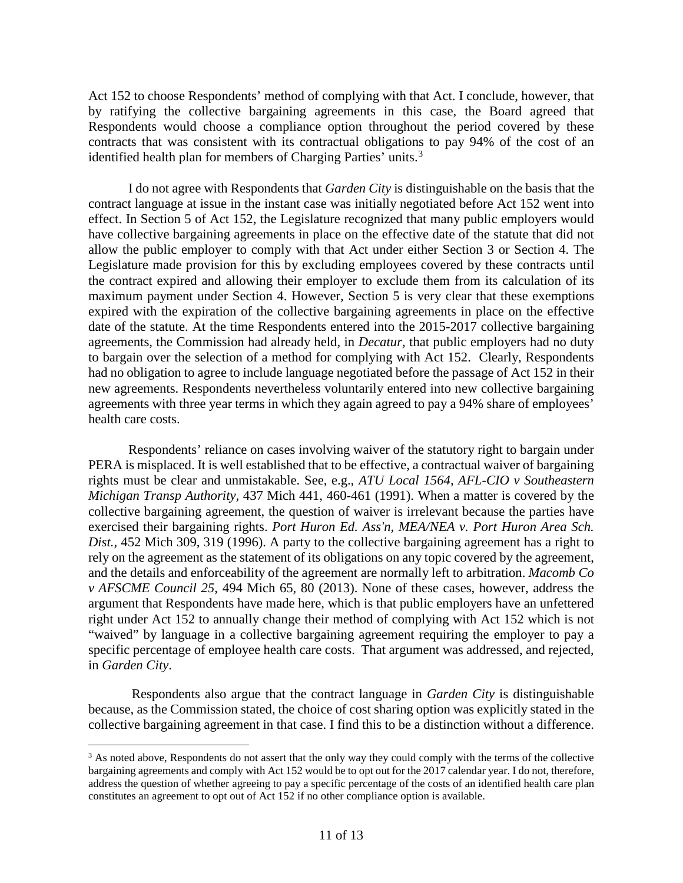Act 152 to choose Respondents' method of complying with that Act. I conclude, however, that by ratifying the collective bargaining agreements in this case, the Board agreed that Respondents would choose a compliance option throughout the period covered by these contracts that was consistent with its contractual obligations to pay 94% of the cost of an identified health plan for members of Charging Parties' units.<sup>[3](#page-19-0)</sup>

I do not agree with Respondents that *Garden City* is distinguishable on the basis that the contract language at issue in the instant case was initially negotiated before Act 152 went into effect. In Section 5 of Act 152, the Legislature recognized that many public employers would have collective bargaining agreements in place on the effective date of the statute that did not allow the public employer to comply with that Act under either Section 3 or Section 4. The Legislature made provision for this by excluding employees covered by these contracts until the contract expired and allowing their employer to exclude them from its calculation of its maximum payment under Section 4. However, Section 5 is very clear that these exemptions expired with the expiration of the collective bargaining agreements in place on the effective date of the statute. At the time Respondents entered into the 2015-2017 collective bargaining agreements, the Commission had already held, in *Decatur,* that public employers had no duty to bargain over the selection of a method for complying with Act 152. Clearly, Respondents had no obligation to agree to include language negotiated before the passage of Act 152 in their new agreements. Respondents nevertheless voluntarily entered into new collective bargaining agreements with three year terms in which they again agreed to pay a 94% share of employees' health care costs.

Respondents' reliance on cases involving waiver of the statutory right to bargain under PERA is misplaced. It is well established that to be effective, a contractual waiver of bargaining rights must be clear and unmistakable. See, e.g., *ATU Local 1564, AFL-CIO v Southeastern Michigan Transp Authority,* 437 Mich 441, 460-461 (1991). When a matter is covered by the collective bargaining agreement, the question of waiver is irrelevant because the parties have exercised their bargaining rights. *Port Huron Ed. Ass'n, MEA/NEA v. Port Huron Area Sch. Dist.*, 452 Mich 309, 319 (1996). A party to the collective bargaining agreement has a right to rely on the agreement as the statement of its obligations on any topic covered by the agreement, and the details and enforceability of the agreement are normally left to arbitration. *Macomb Co v AFSCME Council 25*, 494 Mich 65, 80 (2013). None of these cases, however, address the argument that Respondents have made here, which is that public employers have an unfettered right under Act 152 to annually change their method of complying with Act 152 which is not "waived" by language in a collective bargaining agreement requiring the employer to pay a specific percentage of employee health care costs. That argument was addressed, and rejected, in *Garden City*.

Respondents also argue that the contract language in *Garden City* is distinguishable because, as the Commission stated, the choice of cost sharing option was explicitly stated in the collective bargaining agreement in that case. I find this to be a distinction without a difference.

<span id="page-19-0"></span><sup>&</sup>lt;sup>3</sup> As noted above, Respondents do not assert that the only way they could comply with the terms of the collective bargaining agreements and comply with Act 152 would be to opt out for the 2017 calendar year. I do not, therefore, address the question of whether agreeing to pay a specific percentage of the costs of an identified health care plan constitutes an agreement to opt out of Act 152 if no other compliance option is available.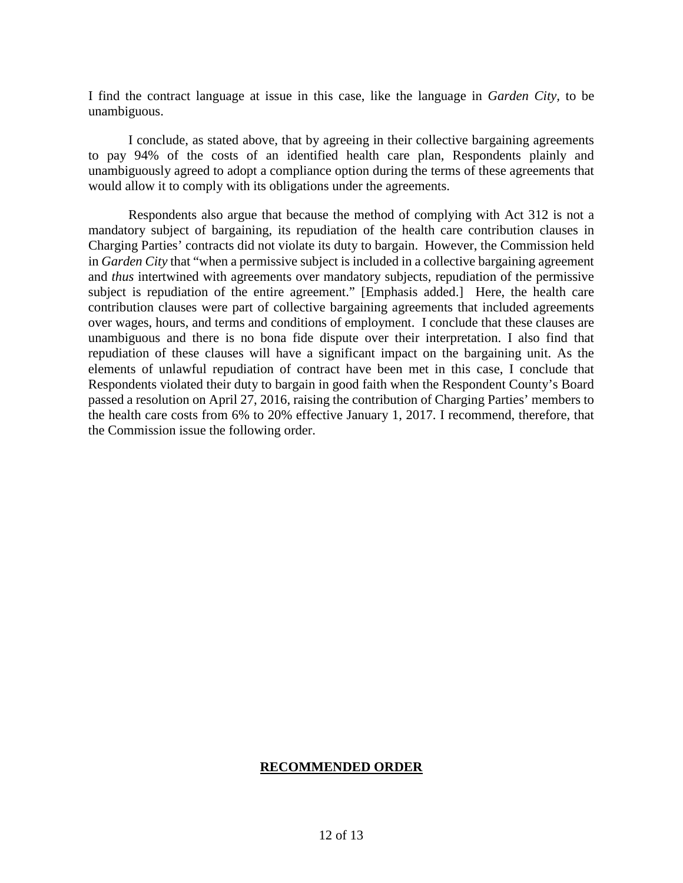I find the contract language at issue in this case, like the language in *Garden City,* to be unambiguous.

I conclude, as stated above, that by agreeing in their collective bargaining agreements to pay 94% of the costs of an identified health care plan, Respondents plainly and unambiguously agreed to adopt a compliance option during the terms of these agreements that would allow it to comply with its obligations under the agreements.

Respondents also argue that because the method of complying with Act 312 is not a mandatory subject of bargaining, its repudiation of the health care contribution clauses in Charging Parties' contracts did not violate its duty to bargain. However, the Commission held in *Garden City* that "when a permissive subject is included in a collective bargaining agreement and *thus* intertwined with agreements over mandatory subjects, repudiation of the permissive subject is repudiation of the entire agreement." [Emphasis added.] Here, the health care contribution clauses were part of collective bargaining agreements that included agreements over wages, hours, and terms and conditions of employment. I conclude that these clauses are unambiguous and there is no bona fide dispute over their interpretation. I also find that repudiation of these clauses will have a significant impact on the bargaining unit. As the elements of unlawful repudiation of contract have been met in this case, I conclude that Respondents violated their duty to bargain in good faith when the Respondent County's Board passed a resolution on April 27, 2016, raising the contribution of Charging Parties' members to the health care costs from 6% to 20% effective January 1, 2017. I recommend, therefore, that the Commission issue the following order.

#### **RECOMMENDED ORDER**